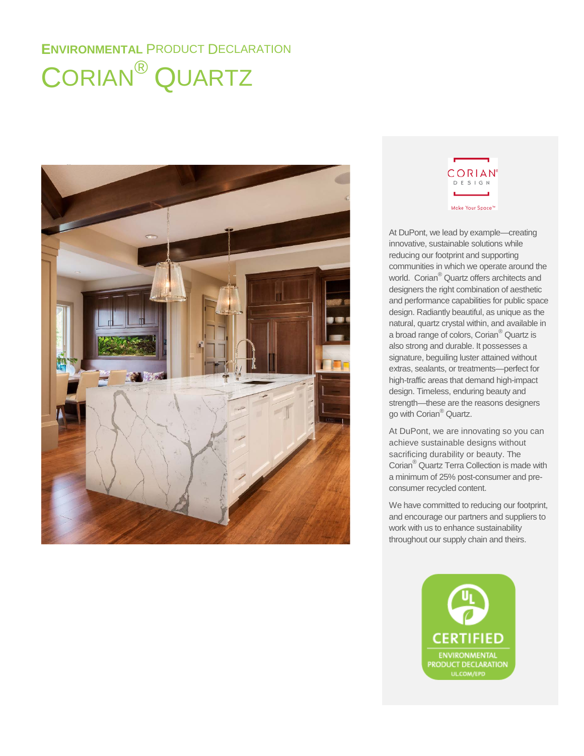# **ENVIRONMENTAL** PRODUCT DECLARATION CORIAN® QUARTZ





At DuPont, we lead by example—creating innovative, sustainable solutions while reducing our footprint and supporting communities in which we operate around the world. Corian® Quartz offers architects and designers the right combination of aesthetic and performance capabilities for public space design. Radiantly beautiful, as unique as the natural, quartz crystal within, and available in a broad range of colors, Corian® Quartz is also strong and durable. It possesses a signature, beguiling luster attained without extras, sealants, or treatments—perfect for high-traffic areas that demand high-impact design. Timeless, enduring beauty and strength—these are the reasons designers go with Corian® Quartz.

At DuPont, we are innovating so you can achieve sustainable designs without sacrificing durability or beauty. The Corian® Quartz Terra Collection is made with a minimum of 25% post-consumer and preconsumer recycled content.

We have committed to reducing our footprint, and encourage our partners and suppliers to work with us to enhance sustainability throughout our supply chain and theirs.

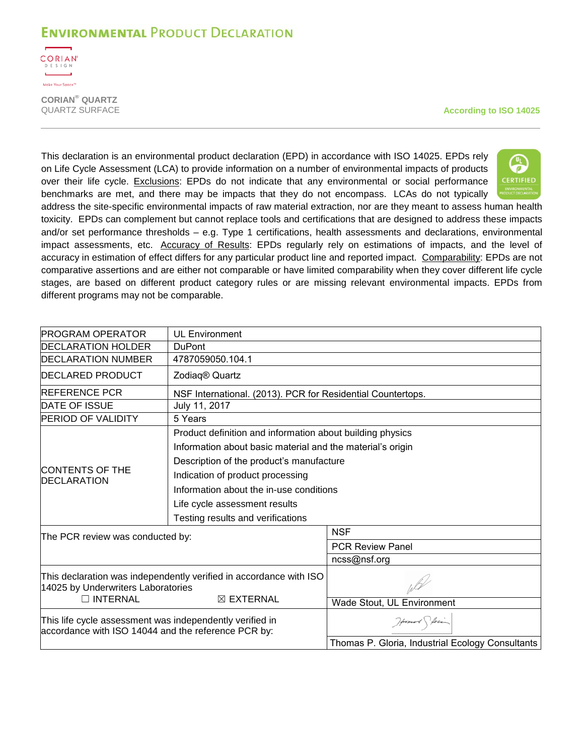

**CORIAN® QUARTZ**

**According to ISO 14025** 

This declaration is an environmental product declaration (EPD) in accordance with ISO 14025. EPDs rely on Life Cycle Assessment (LCA) to provide information on a number of environmental impacts of products over their life cycle. Exclusions: EPDs do not indicate that any environmental or social performance benchmarks are met, and there may be impacts that they do not encompass. LCAs do not typically



address the site-specific environmental impacts of raw material extraction, nor are they meant to assess human health toxicity. EPDs can complement but cannot replace tools and certifications that are designed to address these impacts and/or set performance thresholds – e.g. Type 1 certifications, health assessments and declarations, environmental impact assessments, etc. Accuracy of Results: EPDs regularly rely on estimations of impacts, and the level of accuracy in estimation of effect differs for any particular product line and reported impact. Comparability: EPDs are not comparative assertions and are either not comparable or have limited comparability when they cover different life cycle stages, are based on different product category rules or are missing relevant environmental impacts. EPDs from different programs may not be comparable.

| <b>PROGRAM OPERATOR</b>                                                                                         | <b>UL Environment</b>                                       |                                                  |  |  |  |  |
|-----------------------------------------------------------------------------------------------------------------|-------------------------------------------------------------|--------------------------------------------------|--|--|--|--|
|                                                                                                                 |                                                             |                                                  |  |  |  |  |
| <b>IDECLARATION HOLDER</b><br><b>DuPont</b>                                                                     |                                                             |                                                  |  |  |  |  |
| <b>DECLARATION NUMBER</b>                                                                                       | 4787059050.104.1                                            |                                                  |  |  |  |  |
| <b>IDECLARED PRODUCT</b>                                                                                        | Zodiaq® Quartz                                              |                                                  |  |  |  |  |
| <b>REFERENCE PCR</b>                                                                                            | NSF International. (2013). PCR for Residential Countertops. |                                                  |  |  |  |  |
| <b>DATE OF ISSUE</b>                                                                                            | July 11, 2017                                               |                                                  |  |  |  |  |
| <b>PERIOD OF VALIDITY</b><br>5 Years                                                                            |                                                             |                                                  |  |  |  |  |
|                                                                                                                 | Product definition and information about building physics   |                                                  |  |  |  |  |
|                                                                                                                 | Information about basic material and the material's origin  |                                                  |  |  |  |  |
|                                                                                                                 | Description of the product's manufacture                    |                                                  |  |  |  |  |
| <b>CONTENTS OF THE</b>                                                                                          | Indication of product processing                            |                                                  |  |  |  |  |
| <b>DECLARATION</b>                                                                                              | Information about the in-use conditions                     |                                                  |  |  |  |  |
|                                                                                                                 | Life cycle assessment results                               |                                                  |  |  |  |  |
|                                                                                                                 | Testing results and verifications                           |                                                  |  |  |  |  |
| The PCR review was conducted by:                                                                                |                                                             | <b>NSF</b>                                       |  |  |  |  |
|                                                                                                                 |                                                             | <b>PCR Review Panel</b>                          |  |  |  |  |
|                                                                                                                 |                                                             | ncss@nsf.org                                     |  |  |  |  |
| This declaration was independently verified in accordance with ISO<br>14025 by Underwriters Laboratories        |                                                             |                                                  |  |  |  |  |
| □ INTERNAL                                                                                                      | $\boxtimes$ EXTERNAL                                        | Wade Stout, UL Environment                       |  |  |  |  |
| This life cycle assessment was independently verified in<br>accordance with ISO 14044 and the reference PCR by: |                                                             | Howard Storing                                   |  |  |  |  |
|                                                                                                                 |                                                             | Thomas P. Gloria, Industrial Ecology Consultants |  |  |  |  |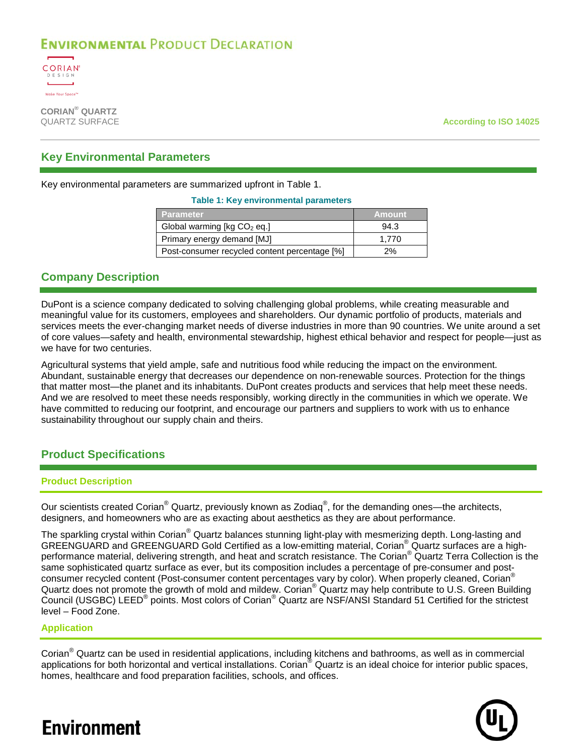

**CORIAN® QUARTZ**

According to ISO 14025

### **Key Environmental Parameters**

<span id="page-2-0"></span>Key environmental parameters are summarized upfront in [Table 1.](#page-2-0)

#### **Table 1: Key environmental parameters**

| <b>Parameter</b>                              | <b>Amount</b> |
|-----------------------------------------------|---------------|
| Global warming [ $kg CO2$ eq.]                | 94.3          |
| Primary energy demand [MJ]                    | 1.770         |
| Post-consumer recycled content percentage [%] | 2%            |

### **Company Description**

DuPont is a science company dedicated to solving challenging global problems, while creating measurable and meaningful value for its customers, employees and shareholders. Our dynamic portfolio of products, materials and services meets the ever-changing market needs of diverse industries in more than 90 countries. We unite around a set of core values—safety and health, environmental stewardship, highest ethical behavior and respect for people—just as we have for two centuries.

Agricultural systems that yield ample, safe and nutritious food while reducing the impact on the environment. Abundant, sustainable energy that decreases our dependence on non-renewable sources. Protection for the things that matter most—the planet and its inhabitants. DuPont creates products and services that help meet these needs. And we are resolved to meet these needs responsibly, working directly in the communities in which we operate. We have committed to reducing our footprint, and encourage our partners and suppliers to work with us to enhance sustainability throughout our supply chain and theirs.

### **Product Specifications**

#### **Product Description**

Our scientists created Corian® Quartz, previously known as Zodiaq®, for the demanding ones—the architects, designers, and homeowners who are as exacting about aesthetics as they are about performance.

The sparkling crystal within Corian<sup>®</sup> Quartz balances stunning light-play with mesmerizing depth. Long-lasting and GREENGUARD and GREENGUARD Gold Certified as a low-emitting material, Corian® Quartz surfaces are a highperformance material, delivering strength, and heat and scratch resistance. The Corian<sup>®</sup> Quartz Terra Collection is the same sophisticated quartz surface as ever, but its composition includes a percentage of pre-consumer and postconsumer recycled content (Post-consumer content percentages vary by color). When properly cleaned, Corian<sup>®</sup> Quartz does not promote the growth of mold and mildew. Corian<sup>®</sup> Quartz may help contribute to U.S. Green Building Council (USGBC) LEED® points. Most colors of Corian® Quartz are NSF/ANSI Standard 51 Certified for the strictest level – Food Zone.

#### **Application**

Corian® Quartz can be used in residential applications, including kitchens and bathrooms, as well as in commercial applications for both horizontal and vertical installations. Corian<sup>®</sup> Quartz is an ideal choice for interior public spaces, homes, healthcare and food preparation facilities, schools, and offices.

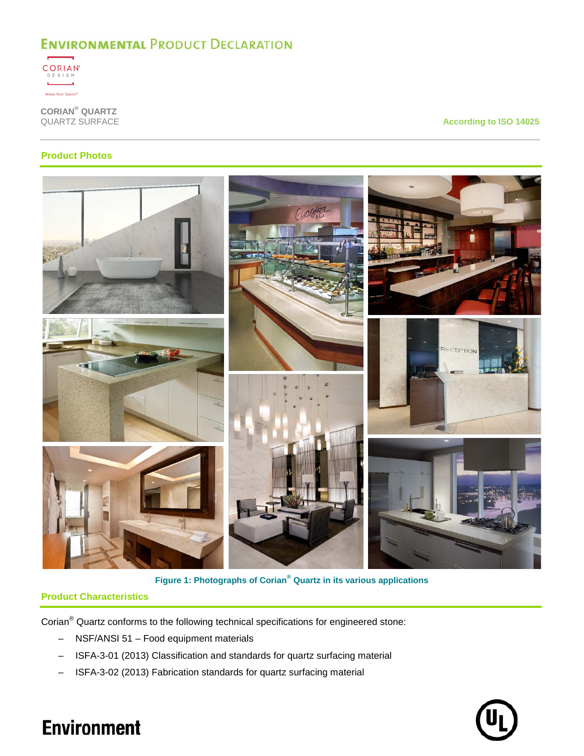

**CORIAN® QUARTZ**

**According to ISO 14025** 

### **Product Photos**



**Figure 1: Photographs of Corian® Quartz in its various applications**

### **Product Characteristics**

Corian® Quartz conforms to the following technical specifications for engineered stone:

- NSF/ANSI 51 Food equipment materials
- ISFA-3-01 (2013) Classification and standards for quartz surfacing material
- ISFA-3-02 (2013) Fabrication standards for quartz surfacing material

![](_page_3_Picture_12.jpeg)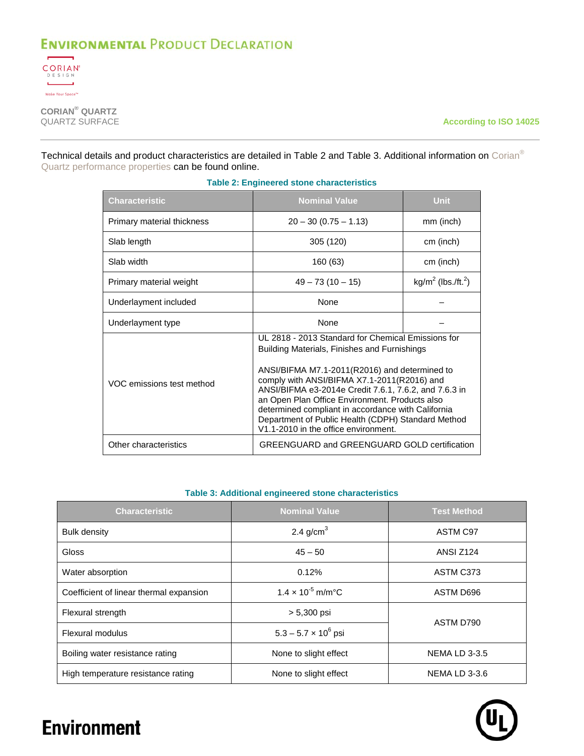![](_page_4_Picture_1.jpeg)

**CORIAN® QUARTZ**

**According to ISO 14025** 

<span id="page-4-0"></span>Technical details and product characteristics are detailed in [Table 2](#page-4-0) and [Table 3.](#page-4-1) Additional information on Corian<sup>®</sup> Quartz [performance properties](http://www.dupont.com/content/dam/dupont/tools-tactics/bi/surfaces-technical-library/documents/north-america/K-28294_Performance_Properties_of_Zodiaq_NA.pdf) can be found online.

| Characteristic             | <b>Nominal Value</b>                                                                                                                                                                                                                                                                                                                                                                                                                                              | <b>Unit</b>                       |  |  |  |
|----------------------------|-------------------------------------------------------------------------------------------------------------------------------------------------------------------------------------------------------------------------------------------------------------------------------------------------------------------------------------------------------------------------------------------------------------------------------------------------------------------|-----------------------------------|--|--|--|
| Primary material thickness | $20 - 30 (0.75 - 1.13)$                                                                                                                                                                                                                                                                                                                                                                                                                                           | mm (inch)                         |  |  |  |
| Slab length                | 305 (120)                                                                                                                                                                                                                                                                                                                                                                                                                                                         | cm (inch)                         |  |  |  |
| Slab width                 | 160 (63)                                                                                                                                                                                                                                                                                                                                                                                                                                                          | cm (inch)                         |  |  |  |
| Primary material weight    | $49 - 73(10 - 15)$                                                                                                                                                                                                                                                                                                                                                                                                                                                | $kg/m^2$ (lbs./ft. <sup>2</sup> ) |  |  |  |
| Underlayment included      | <b>None</b>                                                                                                                                                                                                                                                                                                                                                                                                                                                       |                                   |  |  |  |
| Underlayment type          | <b>None</b>                                                                                                                                                                                                                                                                                                                                                                                                                                                       |                                   |  |  |  |
| VOC emissions test method  | UL 2818 - 2013 Standard for Chemical Emissions for<br>Building Materials, Finishes and Furnishings<br>ANSI/BIFMA M7.1-2011(R2016) and determined to<br>comply with ANSI/BIFMA X7.1-2011(R2016) and<br>ANSI/BIFMA e3-2014e Credit 7.6.1, 7.6.2, and 7.6.3 in<br>an Open Plan Office Environment. Products also<br>determined compliant in accordance with California<br>Department of Public Health (CDPH) Standard Method<br>V1.1-2010 in the office environment. |                                   |  |  |  |
| Other characteristics      | <b>GREENGUARD and GREENGUARD GOLD certification</b>                                                                                                                                                                                                                                                                                                                                                                                                               |                                   |  |  |  |

### **Table 2: Engineered stone characteristics**

#### **Table 3: Additional engineered stone characteristics**

<span id="page-4-1"></span>

| <b>Characteristic</b>                   | <b>Nominal Value</b>                    | <b>Test Method</b>   |  |
|-----------------------------------------|-----------------------------------------|----------------------|--|
| <b>Bulk density</b>                     | 2.4 g/cm <sup>3</sup>                   | ASTM C97             |  |
| Gloss                                   | $45 - 50$                               | <b>ANSI Z124</b>     |  |
| Water absorption                        | 0.12%                                   | ASTM C373            |  |
| Coefficient of linear thermal expansion | $1.4 \times 10^{-5}$ m/m <sup>o</sup> C | ASTM D696            |  |
| Flexural strength                       | $> 5,300$ psi                           | ASTM D790            |  |
| Flexural modulus                        | $5.3 - 5.7 \times 10^6$ psi             |                      |  |
| Boiling water resistance rating         | None to slight effect                   | <b>NEMA LD 3-3.5</b> |  |
| High temperature resistance rating      | None to slight effect                   | <b>NEMA LD 3-3.6</b> |  |

![](_page_4_Picture_9.jpeg)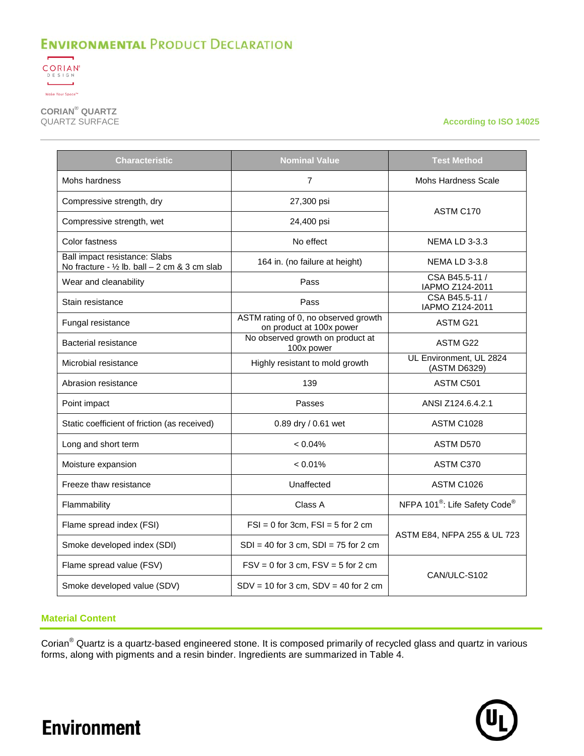![](_page_5_Picture_1.jpeg)

**CORIAN® QUARTZ**

**According to ISO 14025** 

| Characteristic                                                                           | <b>Nominal Value</b>                                             | <b>Test Method</b>                                    |  |  |
|------------------------------------------------------------------------------------------|------------------------------------------------------------------|-------------------------------------------------------|--|--|
| Mohs hardness                                                                            | $\overline{7}$                                                   | <b>Mohs Hardness Scale</b>                            |  |  |
| Compressive strength, dry                                                                | 27,300 psi                                                       |                                                       |  |  |
| Compressive strength, wet                                                                | 24,400 psi                                                       | ASTM C170                                             |  |  |
| Color fastness                                                                           | No effect                                                        | <b>NEMA LD 3-3.3</b>                                  |  |  |
| Ball impact resistance: Slabs<br>No fracture - $\frac{1}{2}$ lb. ball - 2 cm & 3 cm slab | 164 in. (no failure at height)                                   | <b>NEMA LD 3-3.8</b>                                  |  |  |
| Wear and cleanability                                                                    | Pass                                                             | CSA B45.5-11 /<br>IAPMO Z124-2011                     |  |  |
| Stain resistance                                                                         | Pass                                                             | CSA B45.5-11 /<br>IAPMO Z124-2011                     |  |  |
| Fungal resistance                                                                        | ASTM rating of 0, no observed growth<br>on product at 100x power | ASTM G21                                              |  |  |
| Bacterial resistance                                                                     | No observed growth on product at<br>100x power                   | ASTM G22                                              |  |  |
| Microbial resistance                                                                     | Highly resistant to mold growth                                  | UL Environment, UL 2824<br>(ASTM D6329)               |  |  |
| Abrasion resistance                                                                      | 139                                                              | ASTM C501                                             |  |  |
| Point impact                                                                             | Passes                                                           | ANSI Z124.6.4.2.1                                     |  |  |
| Static coefficient of friction (as received)                                             | 0.89 dry / 0.61 wet                                              | <b>ASTM C1028</b>                                     |  |  |
| Long and short term                                                                      | $< 0.04\%$                                                       | ASTM D570                                             |  |  |
| Moisture expansion                                                                       | $< 0.01\%$                                                       | ASTM C370                                             |  |  |
| Freeze thaw resistance                                                                   | Unaffected                                                       | <b>ASTM C1026</b>                                     |  |  |
| Flammability                                                                             | Class A                                                          | NFPA 101 <sup>®</sup> : Life Safety Code <sup>®</sup> |  |  |
| Flame spread index (FSI)                                                                 | $FSI = 0$ for 3cm, $FSI = 5$ for 2 cm                            |                                                       |  |  |
| Smoke developed index (SDI)                                                              | $SDI = 40$ for 3 cm, $SDI = 75$ for 2 cm                         | ASTM E84, NFPA 255 & UL 723                           |  |  |
| Flame spread value (FSV)                                                                 | $FSV = 0$ for 3 cm, $FSV = 5$ for 2 cm                           |                                                       |  |  |
| Smoke developed value (SDV)                                                              | $SDV = 10$ for 3 cm, $SDV = 40$ for 2 cm                         | CAN/ULC-S102                                          |  |  |

#### **Material Content**

**Environment** 

Corian® Quartz is a quartz-based engineered stone. It is composed primarily of recycled glass and quartz in various forms, along with pigments and a resin binder. Ingredients are summarized in [Table 4.](#page-6-0)

![](_page_5_Picture_7.jpeg)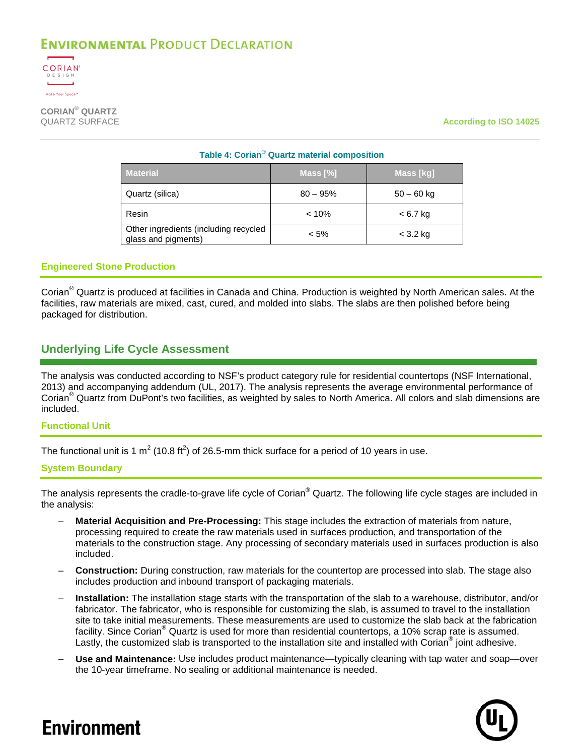![](_page_6_Picture_1.jpeg)

<span id="page-6-0"></span>**CORIAN® QUARTZ**

**According to ISO 14025** 

| Table 4: Corian <sup>®</sup> Quartz material composition     |             |              |  |  |  |  |
|--------------------------------------------------------------|-------------|--------------|--|--|--|--|
| <b>Material</b>                                              | Mass $[\%]$ | Mass [kg]    |  |  |  |  |
| Quartz (silica)                                              | $80 - 95%$  | $50 - 60$ kg |  |  |  |  |
| Resin                                                        | $< 10\%$    | $< 6.7$ kg   |  |  |  |  |
| Other ingredients (including recycled<br>glass and pigments) | $< 5\%$     | $<$ 3.2 kg   |  |  |  |  |

#### **Engineered Stone Production**

Corian® Quartz is produced at facilities in Canada and China. Production is weighted by North American sales. At the facilities, raw materials are mixed, cast, cured, and molded into slabs. The slabs are then polished before being packaged for distribution.

## **Underlying Life Cycle Assessment**

The analysis was conducted according to NSF's product category rule for residential countertops (NSF International, 2013) and accompanying addendum (UL, 2017). The analysis represents the average environmental performance of Corian® Quartz from DuPont's two facilities, as weighted by sales to North America. All colors and slab dimensions are included.

#### **Functional Unit**

The functional unit is 1 m<sup>2</sup> (10.8 ft<sup>2</sup>) of 26.5-mm thick surface for a period of 10 years in use.

#### **System Boundary**

The analysis represents the cradle-to-grave life cycle of Corian<sup>®</sup> Quartz. The following life cycle stages are included in the analysis:

- **Material Acquisition and Pre-Processing:** This stage includes the extraction of materials from nature, processing required to create the raw materials used in surfaces production, and transportation of the materials to the construction stage. Any processing of secondary materials used in surfaces production is also included.
- **Construction:** During construction, raw materials for the countertop are processed into slab. The stage also includes production and inbound transport of packaging materials.
- **Installation:** The installation stage starts with the transportation of the slab to a warehouse, distributor, and/or fabricator. The fabricator, who is responsible for customizing the slab, is assumed to travel to the installation site to take initial measurements. These measurements are used to customize the slab back at the fabrication facility. Since Corian<sup>®</sup> Quartz is used for more than residential countertops, a 10% scrap rate is assumed. Lastly, the customized slab is transported to the installation site and installed with Corian<sup>®</sup> joint adhesive.
- **Use and Maintenance:** Use includes product maintenance—typically cleaning with tap water and soap—over the 10-year timeframe. No sealing or additional maintenance is needed.

![](_page_6_Picture_17.jpeg)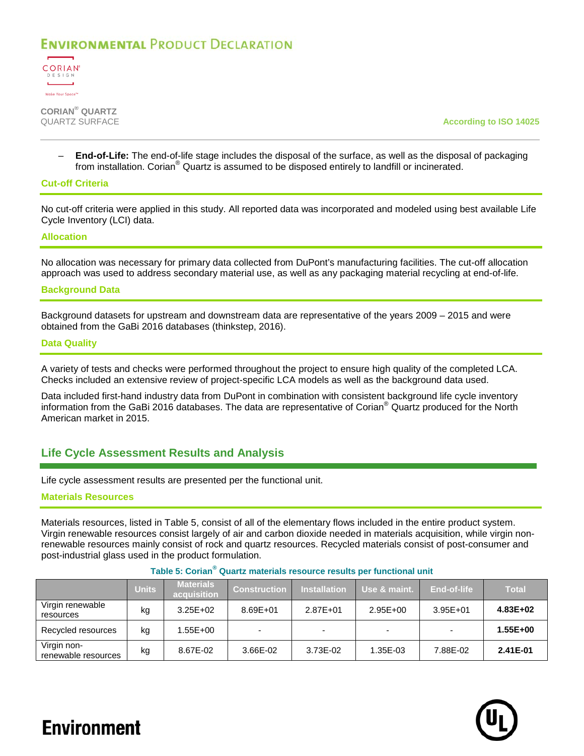![](_page_7_Picture_1.jpeg)

**CORIAN® QUARTZ**

According to ISO 14025

– **End-of-Life:** The end-of-life stage includes the disposal of the surface, as well as the disposal of packaging from installation. Corian® Quartz is assumed to be disposed entirely to landfill or incinerated.

#### **Cut-off Criteria**

No cut-off criteria were applied in this study. All reported data was incorporated and modeled using best available Life Cycle Inventory (LCI) data.

#### **Allocation**

No allocation was necessary for primary data collected from DuPont's manufacturing facilities. The cut-off allocation approach was used to address secondary material use, as well as any packaging material recycling at end-of-life.

#### **Background Data**

Background datasets for upstream and downstream data are representative of the years 2009 – 2015 and were obtained from the GaBi 2016 databases (thinkstep, 2016).

#### **Data Quality**

A variety of tests and checks were performed throughout the project to ensure high quality of the completed LCA. Checks included an extensive review of project-specific LCA models as well as the background data used.

Data included first-hand industry data from DuPont in combination with consistent background life cycle inventory information from the GaBi 2016 databases. The data are representative of Corian® Quartz produced for the North American market in 2015.

### **Life Cycle Assessment Results and Analysis**

Life cycle assessment results are presented per the functional unit.

#### **Materials Resources**

Materials resources, listed in [Table 5,](#page-7-0) consist of all of the elementary flows included in the entire product system. Virgin renewable resources consist largely of air and carbon dioxide needed in materials acquisition, while virgin nonrenewable resources mainly consist of rock and quartz resources. Recycled materials consist of post-consumer and post-industrial glass used in the product formulation.

<span id="page-7-0"></span>

|                                    | <b>Units</b> | <b>Materials</b><br>acquisition | <b>Construction</b> | <b>Installation</b> | Use & maint. | End-of-life  | <b>Total</b> |
|------------------------------------|--------------|---------------------------------|---------------------|---------------------|--------------|--------------|--------------|
| Virgin renewable<br>resources      | kg           | $3.25E + 02$                    | 8.69E+01            | 2.87E+01            | $2.95E + 00$ | $3.95E + 01$ | $4.83E + 02$ |
| Recycled resources                 | kg           | 1.55E+00                        |                     |                     |              |              | 1.55E+00     |
| Virgin non-<br>renewable resources | kg           | 8.67E-02                        | 3.66E-02            | 3.73E-02            | 1.35E-03     | 7.88E-02     | 2.41E-01     |

#### **Table 5: Corian® Quartz materials resource results per functional unit**

![](_page_7_Picture_20.jpeg)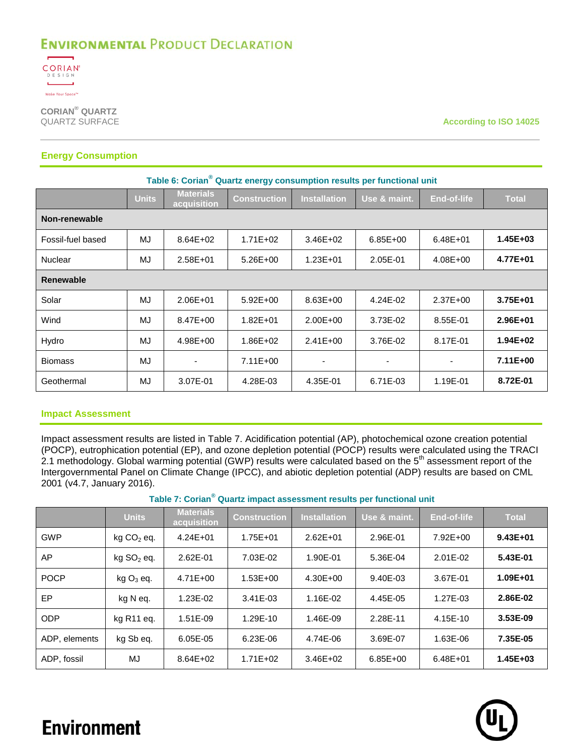![](_page_8_Picture_1.jpeg)

**CORIAN® QUARTZ**

**According to ISO 14025** 

### **Energy Consumption**

| Table 6: Corian <sup>®</sup> Quartz energy consumption results per functional unit |              |                                 |                     |                     |                          |                          |              |  |
|------------------------------------------------------------------------------------|--------------|---------------------------------|---------------------|---------------------|--------------------------|--------------------------|--------------|--|
|                                                                                    | <b>Units</b> | <b>Materials</b><br>acquisition | <b>Construction</b> | <b>Installation</b> | Use & maint.             | <b>End-of-life</b>       | <b>Total</b> |  |
| Non-renewable                                                                      |              |                                 |                     |                     |                          |                          |              |  |
| Fossil-fuel based                                                                  | MJ           | $8.64E + 02$                    | $1.71E + 02$        | $3.46E + 02$        | $6.85E + 00$             | $6.48E + 01$             | $1.45E + 03$ |  |
| Nuclear                                                                            | MJ           | $2.58E + 01$                    | $5.26E + 00$        | 1.23E+01            | 2.05E-01                 | $4.08E + 00$             | 4.77E+01     |  |
| <b>Renewable</b>                                                                   |              |                                 |                     |                     |                          |                          |              |  |
| Solar                                                                              | MJ           | 2.06E+01                        | $5.92E + 00$        | $8.63E + 00$        | 4.24E-02                 | $2.37E + 00$             | 3.75E+01     |  |
| Wind                                                                               | MJ           | 8.47E+00                        | $1.82E + 01$        | $2.00E + 00$        | 3.73E-02                 | 8.55E-01                 | 2.96E+01     |  |
| Hydro                                                                              | MJ           | 4.98E+00                        | $1.86E + 02$        | $2.41E + 00$        | 3.76E-02                 | 8.17E-01                 | $1.94E + 02$ |  |
| <b>Biomass</b>                                                                     | MJ           | $\overline{\phantom{0}}$        | $7.11E+00$          |                     | $\overline{\phantom{0}}$ | $\overline{\phantom{a}}$ | 7.11E+00     |  |
| Geothermal                                                                         | MJ           | 3.07E-01                        | 4.28E-03            | 4.35E-01            | 6.71E-03                 | 1.19E-01                 | 8.72E-01     |  |

#### **Impact Assessment**

Impact assessment results are listed in [Table 7.](#page-8-0) Acidification potential (AP), photochemical ozone creation potential (POCP), eutrophication potential (EP), and ozone depletion potential (POCP) results were calculated using the TRACI 2.1 methodology. Global warming potential (GWP) results were calculated based on the 5<sup>th</sup> assessment report of the Intergovernmental Panel on Climate Change (IPCC), and abiotic depletion potential (ADP) results are based on CML 2001 (v4.7, January 2016).

**Table 7: Corian® Quartz impact assessment results per functional unit**

<span id="page-8-0"></span>

|               | <b>Units</b>           | <b>Materials</b><br>acquisition | <b>Construction</b> | <b>Installation</b> | Use & maint. | <b>End-of-life</b> | <b>Total</b> |
|---------------|------------------------|---------------------------------|---------------------|---------------------|--------------|--------------------|--------------|
| <b>GWP</b>    | $kg CO2$ eq.           | $4.24E + 01$                    | $1.75E + 01$        | $2.62E + 01$        | 2.96E-01     | 7.92E+00           | $9.43E + 01$ |
| AP            | kg SO <sub>2</sub> eq. | 2.62E-01                        | 7.03E-02            | 1.90E-01            | 5.36E-04     | 2.01E-02           | 5.43E-01     |
| <b>POCP</b>   | $kg$ $O_3$ eq.         | $4.71E + 00$                    | $1.53E + 00$        | $4.30E + 00$        | 9.40E-03     | 3.67E-01           | 1.09E+01     |
| EP            | kg N eq.               | 1.23E-02                        | 3.41E-03            | 1.16E-02            | 4.45E-05     | 1.27E-03           | 2.86E-02     |
| <b>ODP</b>    | kg R <sub>11</sub> eg. | 1.51E-09                        | 1.29E-10            | 1.46E-09            | 2.28E-11     | 4.15E-10           | 3.53E-09     |
| ADP, elements | kg Sb eg.              | 6.05E-05                        | 6.23E-06            | 4.74E-06            | 3.69E-07     | 1.63E-06           | 7.35E-05     |
| ADP, fossil   | MJ                     | $8.64E + 02$                    | $1.71E + 02$        | $3.46E + 02$        | $6.85E + 00$ | $6.48E + 01$       | 1.45E+03     |

![](_page_8_Picture_10.jpeg)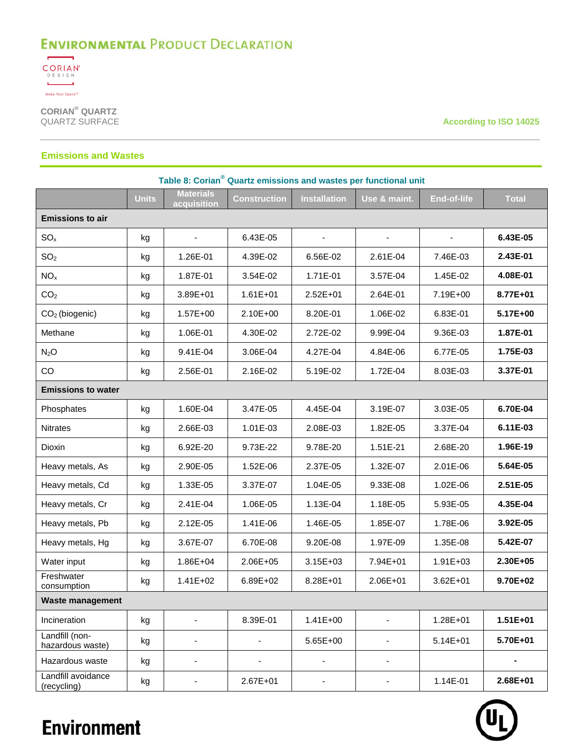![](_page_9_Picture_1.jpeg)

**CORIAN® QUARTZ**

**According to ISO 14025** 

#### **Emissions and Wastes**

| Table 8: Corian <sup>®</sup> Quartz emissions and wastes per functional unit |              |                                 |                          |                              |                          |                    |              |
|------------------------------------------------------------------------------|--------------|---------------------------------|--------------------------|------------------------------|--------------------------|--------------------|--------------|
|                                                                              | <b>Units</b> | <b>Materials</b><br>acquisition | <b>Construction</b>      | <b>Installation</b>          | Use & maint.             | <b>End-of-life</b> | <b>Total</b> |
| <b>Emissions to air</b>                                                      |              |                                 |                          |                              |                          |                    |              |
| SO <sub>x</sub>                                                              | kg           | $\blacksquare$                  | 6.43E-05                 |                              |                          |                    | 6.43E-05     |
| SO <sub>2</sub>                                                              | kg           | 1.26E-01                        | 4.39E-02                 | 6.56E-02                     | 2.61E-04                 | 7.46E-03           | 2.43E-01     |
| NO <sub>x</sub>                                                              | kg           | 1.87E-01                        | 3.54E-02                 | 1.71E-01                     | 3.57E-04                 | 1.45E-02           | 4.08E-01     |
| CO <sub>2</sub>                                                              | kg           | 3.89E+01                        | $1.61E + 01$             | 2.52E+01                     | 2.64E-01                 | 7.19E+00           | 8.77E+01     |
| $CO2$ (biogenic)                                                             | kg           | 1.57E+00                        | 2.10E+00                 | 8.20E-01                     | 1.06E-02                 | 6.83E-01           | 5.17E+00     |
| Methane                                                                      | kg           | 1.06E-01                        | 4.30E-02                 | 2.72E-02                     | 9.99E-04                 | 9.36E-03           | 1.87E-01     |
| $N_2O$                                                                       | kg           | 9.41E-04                        | 3.06E-04                 | 4.27E-04                     | 4.84E-06                 | 6.77E-05           | 1.75E-03     |
| CO                                                                           | kg           | 2.56E-01                        | 2.16E-02                 | 5.19E-02                     | 1.72E-04                 | 8.03E-03           | 3.37E-01     |
| <b>Emissions to water</b>                                                    |              |                                 |                          |                              |                          |                    |              |
| Phosphates                                                                   | kg           | 1.60E-04                        | 3.47E-05                 | 4.45E-04                     | 3.19E-07                 | 3.03E-05           | 6.70E-04     |
| <b>Nitrates</b>                                                              | kg           | 2.66E-03                        | 1.01E-03                 | 2.08E-03                     | 1.82E-05                 | 3.37E-04           | 6.11E-03     |
| Dioxin                                                                       | kg           | 6.92E-20                        | 9.73E-22                 | 9.78E-20                     | 1.51E-21                 | 2.68E-20           | 1.96E-19     |
| Heavy metals, As                                                             | kg           | 2.90E-05                        | 1.52E-06                 | 2.37E-05                     | 1.32E-07                 | 2.01E-06           | 5.64E-05     |
| Heavy metals, Cd                                                             | kg           | 1.33E-05                        | 3.37E-07                 | 1.04E-05                     | 9.33E-08                 | 1.02E-06           | 2.51E-05     |
| Heavy metals, Cr                                                             | kg           | 2.41E-04                        | 1.06E-05                 | 1.13E-04                     | 1.18E-05                 | 5.93E-05           | 4.35E-04     |
| Heavy metals, Pb                                                             | kg           | 2.12E-05                        | 1.41E-06                 | 1.46E-05                     | 1.85E-07                 | 1.78E-06           | 3.92E-05     |
| Heavy metals, Hg                                                             | kg           | 3.67E-07                        | 6.70E-08                 | 9.20E-08                     | 1.97E-09                 | 1.35E-08           | 5.42E-07     |
| Water input                                                                  | kg           | 1.86E+04                        | 2.06E+05                 | 3.15E+03                     | 7.94E+01                 | $1.91E + 03$       | 2.30E+05     |
| Freshwater<br>consumption                                                    | kg           | $1.41E + 02$                    | $6.89E + 02$             | 8.28E+01                     | 2.06E+01                 | $3.62E + 01$       | 9.70E+02     |
| <b>Waste management</b>                                                      |              |                                 |                          |                              |                          |                    |              |
| Incineration                                                                 | kg           |                                 | 8.39E-01                 | $1.41E + 00$                 | ÷,                       | 1.28E+01           | $1.51E+01$   |
| Landfill (non-<br>hazardous waste)                                           | kg           | -                               | $\overline{\phantom{a}}$ | 5.65E+00                     | $\overline{\phantom{0}}$ | $5.14E + 01$       | 5.70E+01     |
| Hazardous waste                                                              | kg           | $\overline{\phantom{0}}$        | $\overline{\phantom{a}}$ | $\overline{\phantom{a}}$     | $\overline{\phantom{a}}$ |                    | -            |
| Landfill avoidance<br>(recycling)                                            | kg           | ÷,                              | 2.67E+01                 | $\qquad \qquad \blacksquare$ | $\overline{\phantom{0}}$ | 1.14E-01           | 2.68E+01     |

![](_page_9_Picture_6.jpeg)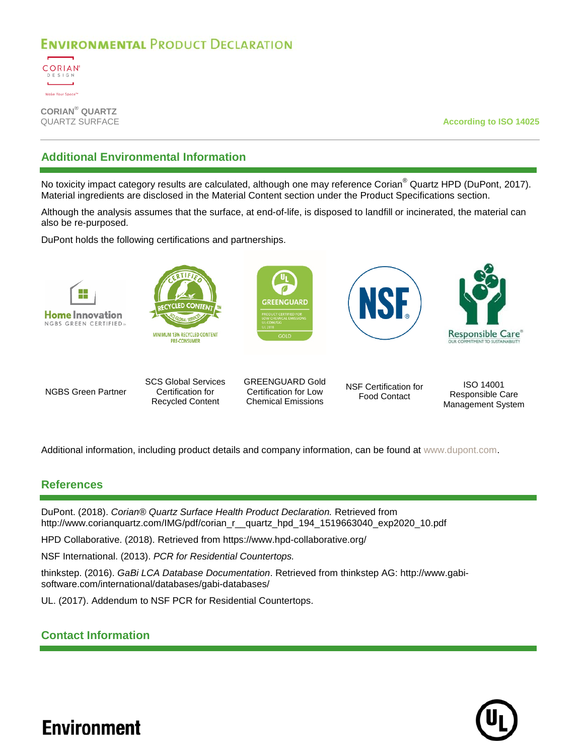![](_page_10_Picture_1.jpeg)

**CORIAN® QUARTZ**

**According to ISO 14025** 

## **Additional Environmental Information**

No toxicity impact category results are calculated, although one may reference Corian® Quartz HPD (DuPont, 2017). Material ingredients are disclosed in the Material Content section under the Product Specifications section.

Although the analysis assumes that the surface, at end-of-life, is disposed to landfill or incinerated, the material can also be re-purposed.

DuPont holds the following certifications and partnerships.

![](_page_10_Picture_8.jpeg)

NGBS Green Partner

SCS Global Services Certification for Recycled Content

GREENGUARD Gold Certification for Low Chemical Emissions

NSF Certification for Food Contact

ISO 14001 Responsible Care Management System

Additional information, including product details and company information, can be found at [www.dupont.com.](http://www.dupont.com/)

### **References**

DuPont. (2018). *Corian® Quartz Surface Health Product Declaration.* Retrieved from http://www.corianquartz.com/IMG/pdf/corian\_r\_\_quartz\_hpd\_194\_1519663040\_exp2020\_10.pdf

HPD Collaborative. (2018). Retrieved from https://www.hpd-collaborative.org/

NSF International. (2013). *PCR for Residential Countertops.*

thinkstep. (2016). *GaBi LCA Database Documentation*. Retrieved from thinkstep AG: http://www.gabisoftware.com/international/databases/gabi-databases/

UL. (2017). Addendum to NSF PCR for Residential Countertops.

## **Contact Information**

![](_page_10_Picture_22.jpeg)